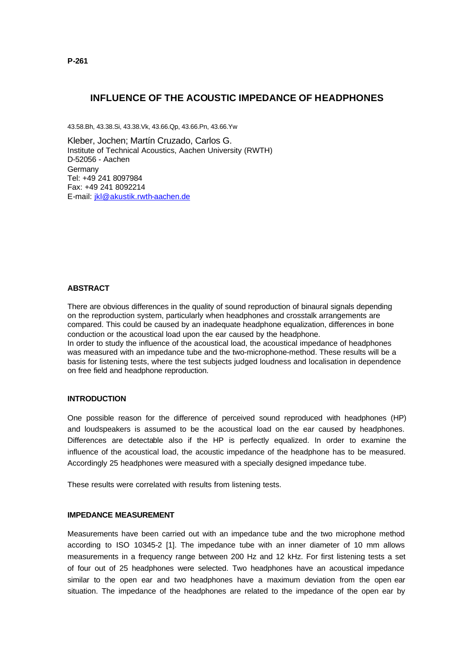# **INFLUENCE OF THE ACOUSTIC IMPEDANCE OF HEADPHONES**

43.58.Bh, 43.38.Si, 43.38.Vk, 43.66.Qp, 43.66.Pn, 43.66.Yw

Kleber, Jochen; Martín Cruzado, Carlos G. Institute of Technical Acoustics, Aachen University (RWTH) D-52056 - Aachen **Germany** Tel: +49 241 8097984 Fax: +49 241 8092214 E-mail: jkl@akustik.rwth-aachen.de

### **ABSTRACT**

There are obvious differences in the quality of sound reproduction of binaural signals depending on the reproduction system, particularly when headphones and crosstalk arrangements are compared. This could be caused by an inadequate headphone equalization, differences in bone conduction or the acoustical load upon the ear caused by the headphone. In order to study the influence of the acoustical load, the acoustical impedance of headphones was measured with an impedance tube and the two-microphone-method. These results will be a basis for listening tests, where the test subjects judged loudness and localisation in dependence on free field and headphone reproduction.

### **INTRODUCTION**

One possible reason for the difference of perceived sound reproduced with headphones (HP) and loudspeakers is assumed to be the acoustical load on the ear caused by headphones. Differences are detectable also if the HP is perfectly equalized. In order to examine the influence of the acoustical load, the acoustic impedance of the headphone has to be measured. Accordingly 25 headphones were measured with a specially designed impedance tube.

These results were correlated with results from listening tests.

### **IMPEDANCE MEASUREMENT**

Measurements have been carried out with an impedance tube and the two microphone method according to ISO 10345-2 [1]. The impedance tube with an inner diameter of 10 mm allows measurements in a frequency range between 200 Hz and 12 kHz. For first listening tests a set of four out of 25 headphones were selected. Two headphones have an acoustical impedance similar to the open ear and two headphones have a maximum deviation from the open ear situation. The impedance of the headphones are related to the impedance of the open ear by

**P-261**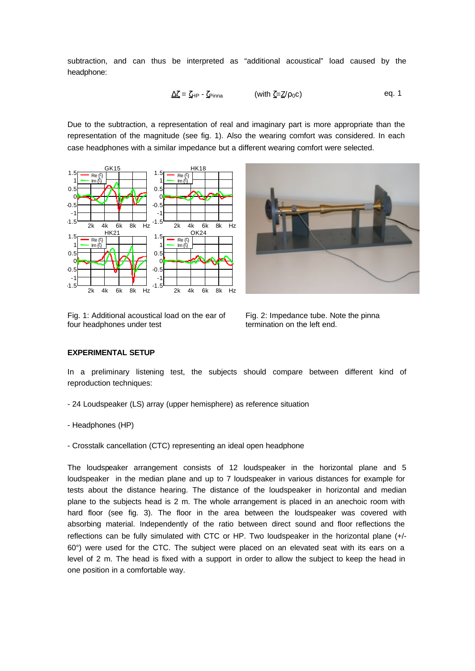subtraction, and can thus be interpreted as "additional acoustical" load caused by the headphone:

$$
\underline{\Delta\zeta} = \zeta_{HP} - \zeta_{Pinna} \qquad \qquad (\text{with } \zeta = \underline{Z}/\rho_0 c)
$$
 eq. 1

Due to the subtraction, a representation of real and imaginary part is more appropriate than the representation of the magnitude (see fig. 1). Also the wearing comfort was considered. In each case headphones with a similar impedance but a different wearing comfort were selected.



Fig. 1: Additional acoustical load on the ear of four headphones under test



Fig. 2: Impedance tube. Note the pinna termination on the left end.

## **EXPERIMENTAL SETUP**

In a preliminary listening test, the subjects should compare between different kind of reproduction techniques:

- 24 Loudspeaker (LS) array (upper hemisphere) as reference situation
- Headphones (HP)
- Crosstalk cancellation (CTC) representing an ideal open headphone

The loudspeaker arrangement consists of 12 loudspeaker in the horizontal plane and 5 loudspeaker in the median plane and up to 7 loudspeaker in various distances for example for tests about the distance hearing. The distance of the loudspeaker in horizontal and median plane to the subjects head is 2 m. The whole arrangement is placed in an anechoic room with hard floor (see fig. 3). The floor in the area between the loudspeaker was covered with absorbing material. Independently of the ratio between direct sound and floor reflections the reflections can be fully simulated with CTC or HP. Two loudspeaker in the horizontal plane (+/- 60°) were used for the CTC. The subject were placed on an elevated seat with its ears on a level of 2 m. The head is fixed with a support in order to allow the subject to keep the head in one position in a comfortable way.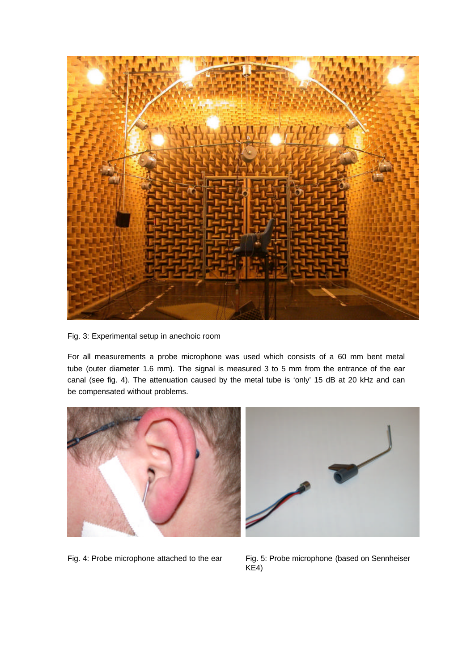

Fig. 3: Experimental setup in anechoic room

For all measurements a probe microphone was used which consists of a 60 mm bent metal tube (outer diameter 1.6 mm). The signal is measured 3 to 5 mm from the entrance of the ear canal (see fig. 4). The attenuation caused by the metal tube is 'only' 15 dB at 20 kHz and can be compensated without problems.





Fig. 4: Probe microphone attached to the ear Fig. 5: Probe microphone (based on Sennheiser KE4)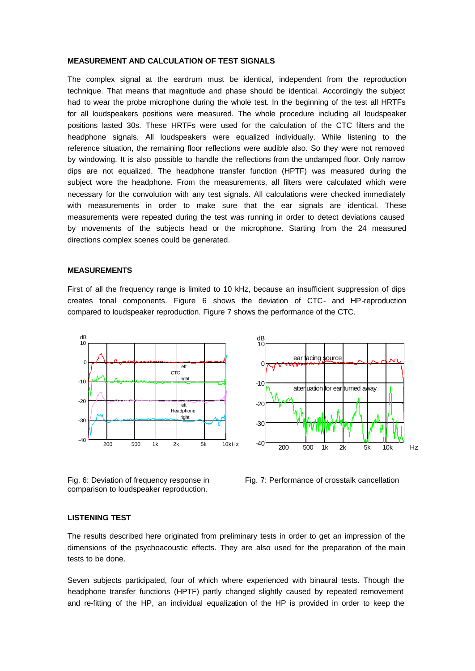### **MEASUREMENT AND CALCULATION OF TEST SIGNALS**

The complex signal at the eardrum must be identical, independent from the reproduction technique. That means that magnitude and phase should be identical. Accordingly the subject had to wear the probe microphone during the whole test. In the beginning of the test all HRTFs for all loudspeakers positions were measured. The whole procedure including all loudspeaker positions lasted 30s. These HRTFs were used for the calculation of the CTC filters and the headphone signals. All loudspeakers were equalized individually. While listening to the reference situation, the remaining floor reflections were audible also. So they were not removed by windowing. It is also possible to handle the reflections from the undamped floor. Only narrow dips are not equalized. The headphone transfer function (HPTF) was measured during the subject wore the headphone. From the measurements, all filters were calculated which were necessary for the convolution with any test signals. All calculations were checked immediately with measurements in order to make sure that the ear signals are identical. These measurements were repeated during the test was running in order to detect deviations caused by movements of the subjects head or the microphone. Starting from the 24 measured directions complex scenes could be generated.

#### **MEASUREMENTS**

First of all the frequency range is limited to 10 kHz, because an insufficient suppression of dips creates tonal components. Figure 6 shows the deviation of CTC- and HP-reproduction compared to loudspeaker reproduction. Figure 7 shows the performance of the CTC.



Fig. 6: Deviation of frequency response in comparison to loudspeaker reproduction.



#### **LISTENING TEST**

The results described here originated from preliminary tests in order to get an impression of the dimensions of the psychoacoustic effects. They are also used for the preparation of the main tests to be done.

Seven subjects participated, four of which where experienced with binaural tests. Though the headphone transfer functions (HPTF) partly changed slightly caused by repeated removement and re-fitting of the HP, an individual equalization of the HP is provided in order to keep the